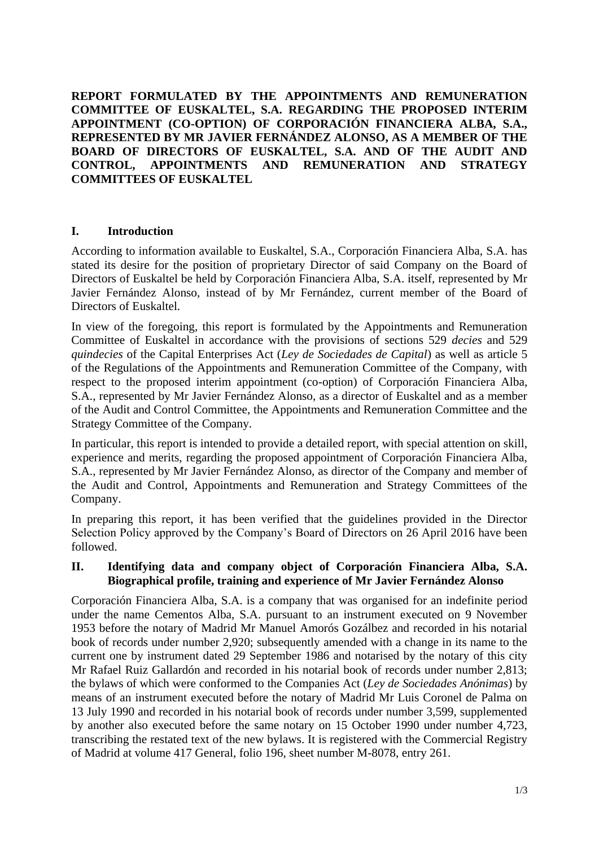**REPORT FORMULATED BY THE APPOINTMENTS AND REMUNERATION COMMITTEE OF EUSKALTEL, S.A. REGARDING THE PROPOSED INTERIM APPOINTMENT (CO-OPTION) OF CORPORACIÓN FINANCIERA ALBA, S.A., REPRESENTED BY MR JAVIER FERNÁNDEZ ALONSO, AS A MEMBER OF THE BOARD OF DIRECTORS OF EUSKALTEL, S.A. AND OF THE AUDIT AND CONTROL, APPOINTMENTS AND REMUNERATION AND STRATEGY COMMITTEES OF EUSKALTEL**

### **I. Introduction**

According to information available to Euskaltel, S.A., Corporación Financiera Alba, S.A. has stated its desire for the position of proprietary Director of said Company on the Board of Directors of Euskaltel be held by Corporación Financiera Alba, S.A. itself, represented by Mr Javier Fernández Alonso, instead of by Mr Fernández, current member of the Board of Directors of Euskaltel.

In view of the foregoing, this report is formulated by the Appointments and Remuneration Committee of Euskaltel in accordance with the provisions of sections 529 *decies* and 529 *quindecies* of the Capital Enterprises Act (*Ley de Sociedades de Capital*) as well as article 5 of the Regulations of the Appointments and Remuneration Committee of the Company, with respect to the proposed interim appointment (co-option) of Corporación Financiera Alba, S.A., represented by Mr Javier Fernández Alonso, as a director of Euskaltel and as a member of the Audit and Control Committee, the Appointments and Remuneration Committee and the Strategy Committee of the Company.

In particular, this report is intended to provide a detailed report, with special attention on skill, experience and merits, regarding the proposed appointment of Corporación Financiera Alba, S.A., represented by Mr Javier Fernández Alonso, as director of the Company and member of the Audit and Control, Appointments and Remuneration and Strategy Committees of the Company.

In preparing this report, it has been verified that the guidelines provided in the Director Selection Policy approved by the Company's Board of Directors on 26 April 2016 have been followed.

### **II. Identifying data and company object of Corporación Financiera Alba, S.A. Biographical profile, training and experience of Mr Javier Fernández Alonso**

Corporación Financiera Alba, S.A. is a company that was organised for an indefinite period under the name Cementos Alba, S.A. pursuant to an instrument executed on 9 November 1953 before the notary of Madrid Mr Manuel Amorós Gozálbez and recorded in his notarial book of records under number 2,920; subsequently amended with a change in its name to the current one by instrument dated 29 September 1986 and notarised by the notary of this city Mr Rafael Ruiz Gallardón and recorded in his notarial book of records under number 2,813; the bylaws of which were conformed to the Companies Act (*Ley de Sociedades Anónimas*) by means of an instrument executed before the notary of Madrid Mr Luis Coronel de Palma on 13 July 1990 and recorded in his notarial book of records under number 3,599, supplemented by another also executed before the same notary on 15 October 1990 under number 4,723, transcribing the restated text of the new bylaws. It is registered with the Commercial Registry of Madrid at volume 417 General, folio 196, sheet number M-8078, entry 261.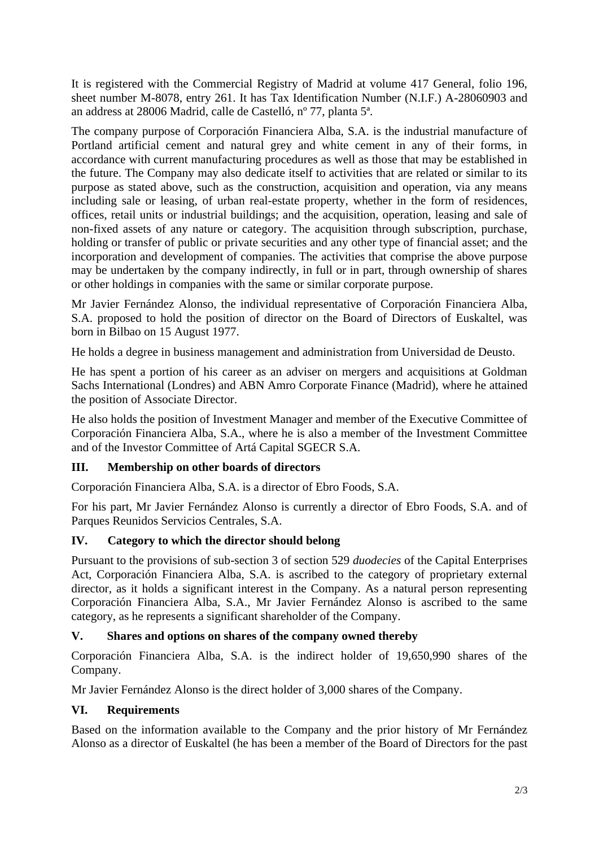It is registered with the Commercial Registry of Madrid at volume 417 General, folio 196, sheet number M-8078, entry 261. It has Tax Identification Number (N.I.F.) A-28060903 and an address at 28006 Madrid, calle de Castelló, nº 77, planta 5ª.

The company purpose of Corporación Financiera Alba, S.A. is the industrial manufacture of Portland artificial cement and natural grey and white cement in any of their forms, in accordance with current manufacturing procedures as well as those that may be established in the future. The Company may also dedicate itself to activities that are related or similar to its purpose as stated above, such as the construction, acquisition and operation, via any means including sale or leasing, of urban real-estate property, whether in the form of residences, offices, retail units or industrial buildings; and the acquisition, operation, leasing and sale of non-fixed assets of any nature or category. The acquisition through subscription, purchase, holding or transfer of public or private securities and any other type of financial asset; and the incorporation and development of companies. The activities that comprise the above purpose may be undertaken by the company indirectly, in full or in part, through ownership of shares or other holdings in companies with the same or similar corporate purpose.

Mr Javier Fernández Alonso, the individual representative of Corporación Financiera Alba, S.A. proposed to hold the position of director on the Board of Directors of Euskaltel, was born in Bilbao on 15 August 1977.

He holds a degree in business management and administration from Universidad de Deusto.

He has spent a portion of his career as an adviser on mergers and acquisitions at Goldman Sachs International (Londres) and ABN Amro Corporate Finance (Madrid), where he attained the position of Associate Director.

He also holds the position of Investment Manager and member of the Executive Committee of Corporación Financiera Alba, S.A., where he is also a member of the Investment Committee and of the Investor Committee of Artá Capital SGECR S.A.

# **III. Membership on other boards of directors**

Corporación Financiera Alba, S.A. is a director of Ebro Foods, S.A.

For his part, Mr Javier Fernández Alonso is currently a director of Ebro Foods, S.A. and of Parques Reunidos Servicios Centrales, S.A.

# **IV. Category to which the director should belong**

Pursuant to the provisions of sub-section 3 of section 529 *duodecies* of the Capital Enterprises Act, Corporación Financiera Alba, S.A. is ascribed to the category of proprietary external director, as it holds a significant interest in the Company. As a natural person representing Corporación Financiera Alba, S.A., Mr Javier Fernández Alonso is ascribed to the same category, as he represents a significant shareholder of the Company.

## **V. Shares and options on shares of the company owned thereby**

Corporación Financiera Alba, S.A. is the indirect holder of 19,650,990 shares of the Company.

Mr Javier Fernández Alonso is the direct holder of 3,000 shares of the Company.

## **VI. Requirements**

Based on the information available to the Company and the prior history of Mr Fernández Alonso as a director of Euskaltel (he has been a member of the Board of Directors for the past